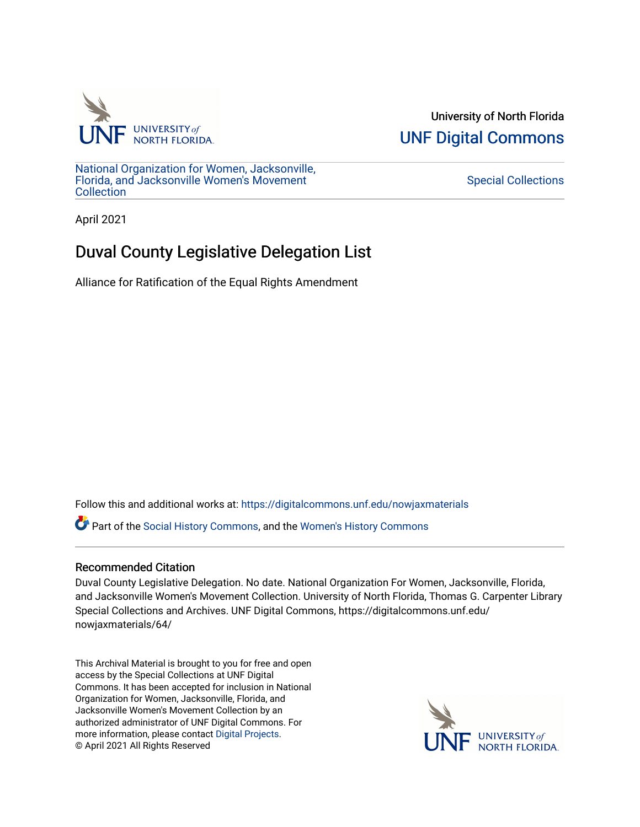

University of North Florida [UNF Digital Commons](https://digitalcommons.unf.edu/) 

[National Organization for Women, Jacksonville,](https://digitalcommons.unf.edu/nowjaxmaterials) [Florida, and Jacksonville Women's Movement](https://digitalcommons.unf.edu/nowjaxmaterials) [Collection](https://digitalcommons.unf.edu/nowjaxmaterials) 

## [Special Collections](https://digitalcommons.unf.edu/special_collections)

April 2021

## Duval County Legislative Delegation List

Alliance for Ratification of the Equal Rights Amendment

Follow this and additional works at: [https://digitalcommons.unf.edu/nowjaxmaterials](https://digitalcommons.unf.edu/nowjaxmaterials?utm_source=digitalcommons.unf.edu%2Fnowjaxmaterials%2F64&utm_medium=PDF&utm_campaign=PDFCoverPages) 

Part of the [Social History Commons](http://network.bepress.com/hgg/discipline/506?utm_source=digitalcommons.unf.edu%2Fnowjaxmaterials%2F64&utm_medium=PDF&utm_campaign=PDFCoverPages), and the [Women's History Commons](http://network.bepress.com/hgg/discipline/507?utm_source=digitalcommons.unf.edu%2Fnowjaxmaterials%2F64&utm_medium=PDF&utm_campaign=PDFCoverPages)

## Recommended Citation

Duval County Legislative Delegation. No date. National Organization For Women, Jacksonville, Florida, and Jacksonville Women's Movement Collection. University of North Florida, Thomas G. Carpenter Library Special Collections and Archives. UNF Digital Commons, https://digitalcommons.unf.edu/ nowjaxmaterials/64/

This Archival Material is brought to you for free and open access by the Special Collections at UNF Digital Commons. It has been accepted for inclusion in National Organization for Women, Jacksonville, Florida, and Jacksonville Women's Movement Collection by an authorized administrator of UNF Digital Commons. For more information, please contact [Digital Projects](mailto:lib-digital@unf.edu). © April 2021 All Rights Reserved